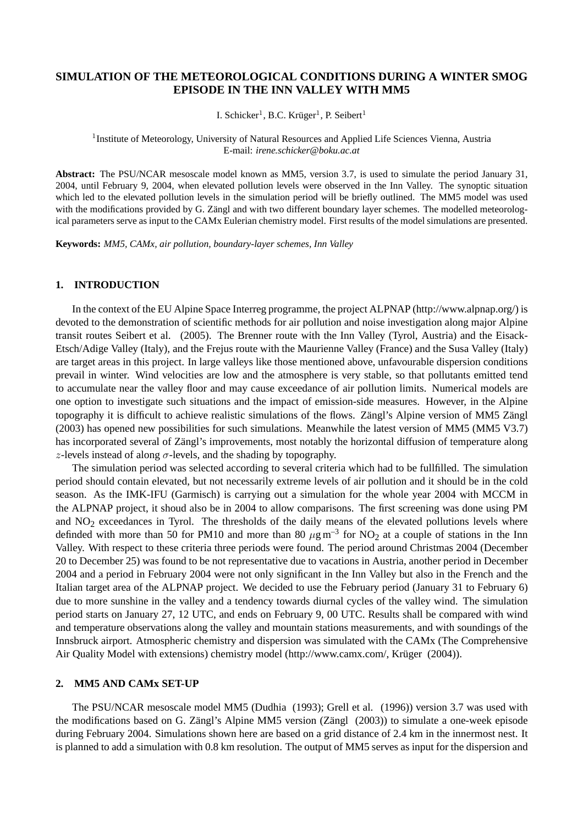# **SIMULATION OF THE METEOROLOGICAL CONDITIONS DURING A WINTER SMOG EPISODE IN THE INN VALLEY WITH MM5**

I. Schicker<sup>1</sup>, B.C. Krüger<sup>1</sup>, P. Seibert<sup>1</sup>

<sup>1</sup> Institute of Meteorology, University of Natural Resources and Applied Life Sciences Vienna, Austria E-mail: *irene.schicker@boku.ac.at*

**Abstract:** The PSU/NCAR mesoscale model known as MM5, version 3.7, is used to simulate the period January 31, 2004, until February 9, 2004, when elevated pollution levels were observed in the Inn Valley. The synoptic situation which led to the elevated pollution levels in the simulation period will be briefly outlined. The MM5 model was used with the modifications provided by G. Zängl and with two different boundary layer schemes. The modelled meteorological parameters serve as input to the CAMx Eulerian chemistry model. First results of the model simulations are presented.

**Keywords:** *MM5, CAMx, air pollution, boundary-layer schemes, Inn Valley*

## **1. INTRODUCTION**

In the context of the EU Alpine Space Interreg programme, the project ALPNAP (http://www.alpnap.org/) is devoted to the demonstration of scientific methods for air pollution and noise investigation along major Alpine transit routes Seibert et al. (2005). The Brenner route with the Inn Valley (Tyrol, Austria) and the Eisack-Etsch/Adige Valley (Italy), and the Frejus route with the Maurienne Valley (France) and the Susa Valley (Italy) are target areas in this project. In large valleys like those mentioned above, unfavourable dispersion conditions prevail in winter. Wind velocities are low and the atmosphere is very stable, so that pollutants emitted tend to accumulate near the valley floor and may cause exceedance of air pollution limits. Numerical models are one option to investigate such situations and the impact of emission-side measures. However, in the Alpine topography it is difficult to achieve realistic simulations of the flows. Zängl's Alpine version of MM5 Zängl (2003) has opened new possibilities for such simulations. Meanwhile the latest version of MM5 (MM5 V3.7) has incorporated several of Zängl's improvements, most notably the horizontal diffusion of temperature along z-levels instead of along  $\sigma$ -levels, and the shading by topography.

The simulation period was selected according to several criteria which had to be fullfilled. The simulation period should contain elevated, but not necessarily extreme levels of air pollution and it should be in the cold season. As the IMK-IFU (Garmisch) is carrying out a simulation for the whole year 2004 with MCCM in the ALPNAP project, it shoud also be in 2004 to allow comparisons. The first screening was done using PM and  $NO<sub>2</sub>$  exceedances in Tyrol. The thresholds of the daily means of the elevated pollutions levels where definded with more than 50 for PM10 and more than 80  $\mu$ g m<sup>-3</sup> for NO<sub>2</sub> at a couple of stations in the Inn Valley. With respect to these criteria three periods were found. The period around Christmas 2004 (December 20 to December 25) was found to be not representative due to vacations in Austria, another period in December 2004 and a period in February 2004 were not only significant in the Inn Valley but also in the French and the Italian target area of the ALPNAP project. We decided to use the February period (January 31 to February 6) due to more sunshine in the valley and a tendency towards diurnal cycles of the valley wind. The simulation period starts on January 27, 12 UTC, and ends on February 9, 00 UTC. Results shall be compared with wind and temperature observations along the valley and mountain stations measurements, and with soundings of the Innsbruck airport. Atmospheric chemistry and dispersion was simulated with the CAMx (The Comprehensive Air Quality Model with extensions) chemistry model (http://www.camx.com/, Krüger (2004)).

### **2. MM5 AND CAMx SET-UP**

The PSU/NCAR mesoscale model MM5 (Dudhia (1993); Grell et al. (1996)) version 3.7 was used with the modifications based on G. Zängl's Alpine MM5 version (Zängl (2003)) to simulate a one-week episode during February 2004. Simulations shown here are based on a grid distance of 2.4 km in the innermost nest. It is planned to add a simulation with 0.8 km resolution. The output of MM5 serves as input for the dispersion and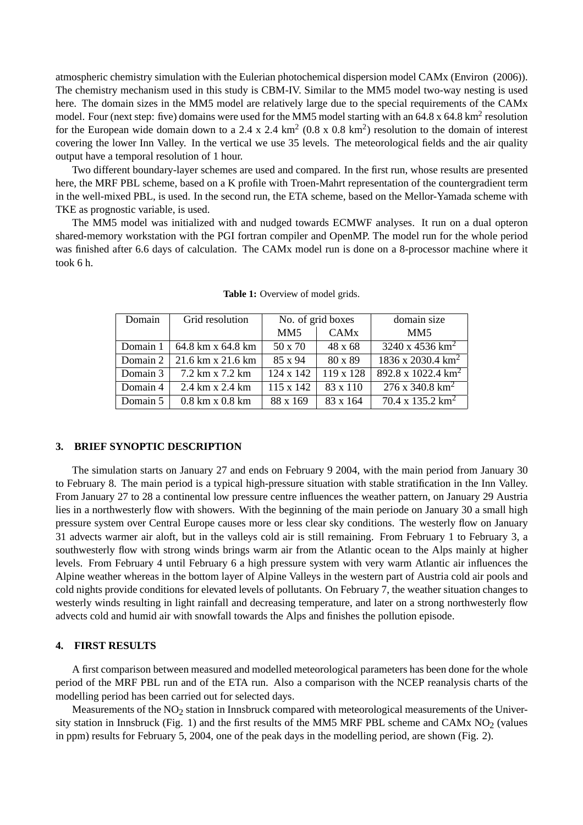atmospheric chemistry simulation with the Eulerian photochemical dispersion model CAMx (Environ (2006)). The chemistry mechanism used in this study is CBM-IV. Similar to the MM5 model two-way nesting is used here. The domain sizes in the MM5 model are relatively large due to the special requirements of the CAMx model. Four (next step: five) domains were used for the MM5 model starting with an  $64.8 \times 64.8 \text{ km}^2$  resolution for the European wide domain down to a 2.4 x 2.4  $\text{km}^2$  (0.8 x 0.8  $\text{km}^2$ ) resolution to the domain of interest covering the lower Inn Valley. In the vertical we use 35 levels. The meteorological fields and the air quality output have a temporal resolution of 1 hour.

Two different boundary-layer schemes are used and compared. In the first run, whose results are presented here, the MRF PBL scheme, based on a K profile with Troen-Mahrt representation of the countergradient term in the well-mixed PBL, is used. In the second run, the ETA scheme, based on the Mellor-Yamada scheme with TKE as prognostic variable, is used.

The MM5 model was initialized with and nudged towards ECMWF analyses. It run on a dual opteron shared-memory workstation with the PGI fortran compiler and OpenMP. The model run for the whole period was finished after 6.6 days of calculation. The CAMx model run is done on a 8-processor machine where it took 6 h.

| Domain   | Grid resolution                          | No. of grid boxes |                        | domain size                          |
|----------|------------------------------------------|-------------------|------------------------|--------------------------------------|
|          |                                          | MM <sub>5</sub>   | <b>CAM<sub>x</sub></b> | MM <sub>5</sub>                      |
| Domain 1 | 64.8 km x 64.8 km                        | 50 x 70           | $48 \times 68$         | $3240 \times 4536 \text{ km}^2$      |
| Domain 2 | $21.6 \text{ km} \times 21.6 \text{ km}$ | 85 x 94           | 80 x 89                | $1836 \times 2030.4 \text{ km}^2$    |
| Domain 3 | 7.2 km x 7.2 km                          | $124 \times 142$  | 119 x 128              | 892.8 x 1022.4 $\text{km}^2$         |
| Domain 4 | 2.4 km x 2.4 km                          | $115 \times 142$  | 83 x 110               | $\sqrt{276}$ x 340.8 km <sup>2</sup> |
| Domain 5 | $0.8$ km x $0.8$ km                      | 88 x 169          | 83 x 164               | $70.4 \times 135.2 \text{ km}^2$     |

**Table 1:** Overview of model grids.

## **3. BRIEF SYNOPTIC DESCRIPTION**

The simulation starts on January 27 and ends on February 9 2004, with the main period from January 30 to February 8. The main period is a typical high-pressure situation with stable stratification in the Inn Valley. From January 27 to 28 a continental low pressure centre influences the weather pattern, on January 29 Austria lies in a northwesterly flow with showers. With the beginning of the main periode on January 30 a small high pressure system over Central Europe causes more or less clear sky conditions. The westerly flow on January 31 advects warmer air aloft, but in the valleys cold air is still remaining. From February 1 to February 3, a southwesterly flow with strong winds brings warm air from the Atlantic ocean to the Alps mainly at higher levels. From February 4 until February 6 a high pressure system with very warm Atlantic air influences the Alpine weather whereas in the bottom layer of Alpine Valleys in the western part of Austria cold air pools and cold nights provide conditions for elevated levels of pollutants. On February 7, the weather situation changes to westerly winds resulting in light rainfall and decreasing temperature, and later on a strong northwesterly flow advects cold and humid air with snowfall towards the Alps and finishes the pollution episode.

#### **4. FIRST RESULTS**

A first comparison between measured and modelled meteorological parameters has been done for the whole period of the MRF PBL run and of the ETA run. Also a comparison with the NCEP reanalysis charts of the modelling period has been carried out for selected days.

Measurements of the  $NO<sub>2</sub>$  station in Innsbruck compared with meteorological measurements of the University station in Innsbruck (Fig. 1) and the first results of the MM5 MRF PBL scheme and CAMx  $NO<sub>2</sub>$  (values in ppm) results for February 5, 2004, one of the peak days in the modelling period, are shown (Fig. 2).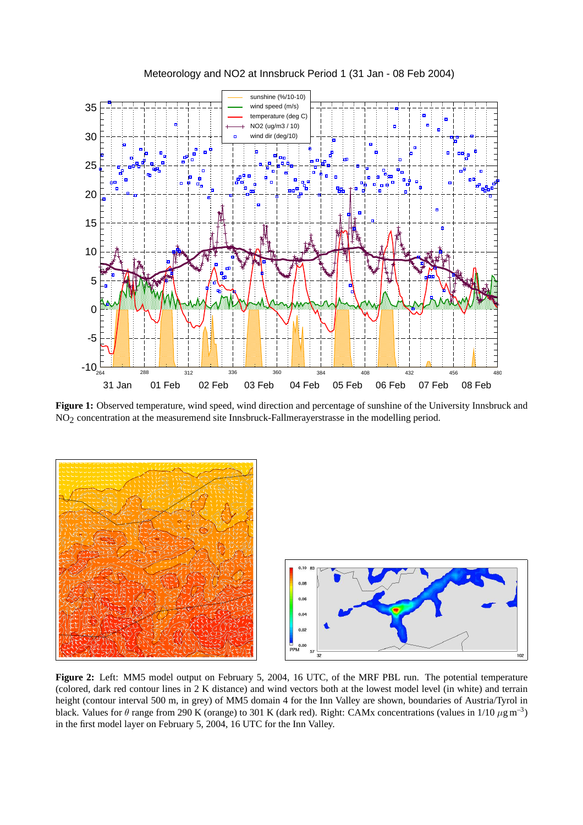

Meteorology and NO2 at Innsbruck Period 1 (31 Jan - 08 Feb 2004)

**Figure 1:** Observed temperature, wind speed, wind direction and percentage of sunshine of the University Innsbruck and NO<sub>2</sub> concentration at the measuremend site Innsbruck-Fallmerayerstrasse in the modelling period.





**Figure 2:** Left: MM5 model output on February 5, 2004, 16 UTC, of the MRF PBL run. The potential temperature (colored, dark red contour lines in 2 K distance) and wind vectors both at the lowest model level (in white) and terrain height (contour interval 500 m, in grey) of MM5 domain 4 for the Inn Valley are shown, boundaries of Austria/Tyrol in black. Values for  $\theta$  range from 290 K (orange) to 301 K (dark red). Right: CAMx concentrations (values in 1/10  $\mu$ g m<sup>-3</sup>) in the first model layer on February 5, 2004, 16 UTC for the Inn Valley.